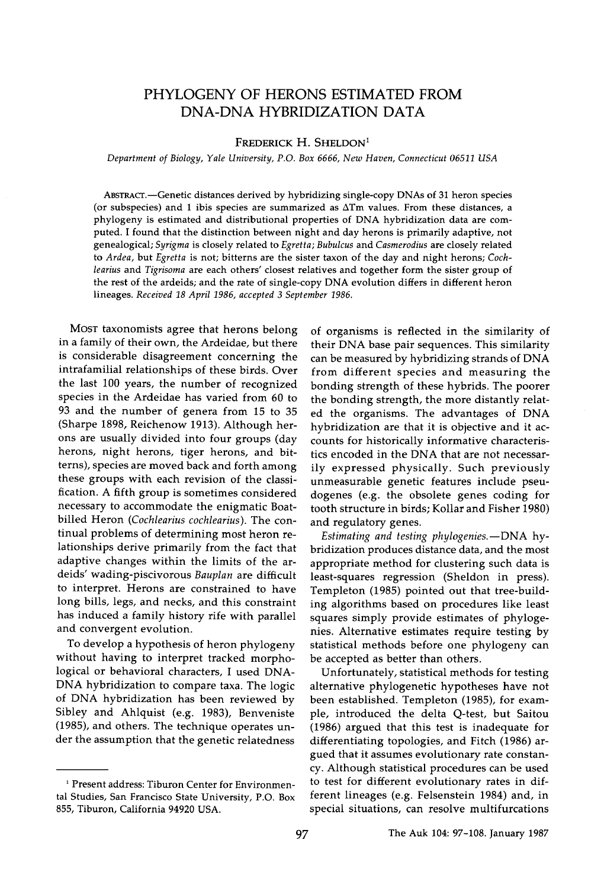# **PHYLOGENY OF HERONS ESTIMATED FROM DNA-DNA HYBRIDIZATION DATA**

## FREDERICK H. SHELDON<sup>1</sup>

**Department of Biology, Yale University, P.O. Box 6666, New Haven, Connecticut 06511 USA** 

ABSTRACT.—Genetic distances derived by hybridizing single-copy DNAs of 31 heron species **(or subspecies) and 1 ibis species are summarized as ATm values. From these distances, a phylogeny is estimated and distributional properties of DNA hybridization data are computed. I found that the distinction between night and day herons is primarily adaptive, not genealogical; Syrigma is closely related to Egretta; Bubulcus and Casmerodius are closely related to Ardea, but Egretta is not; bitterns are the sister taxon of the day and night herons; Coch**learius and Tigrisoma are each others' closest relatives and together form the sister group of **the rest of the ardeids; and the rate of single-copy DNA evolution differs in different heron**  lineages. Received 18 April 1986, accepted 3 September 1986.

**MOST taxonomists agree that herons belong in a family of their own, the Ardeidae, but there is considerable disagreement concerning the intrafamilial relationships of these birds. Over the last 100 years, the number of recognized species in the Ardeidae has varied from 60 to 93 and the number of genera from 15 to 35 (Sharpe 1898, Reichenow 1913). Although herons are usually divided into four groups (day herons, night herons, tiger herons, and bitterns), species are moved back and forth among these groups with each revision of the classification. A fifth group is sometimes considered necessary to accommodate the enigmatic Boatbilled Heron (Cochlearius cochlearius). The continual problems of determining most heron relationships derive primarily from the fact that adaptive changes within the limits of the ardeids' wading-piscivorous Bauplan are difficult to interpret. Herons are constrained to have long bills, legs, and necks, and this constraint has induced a family history rife with parallel and convergent evolution.** 

**To develop a hypothesis of heron phylogeny without having to interpret tracked morphological or behavioral characters, I used DNA-DNA hybridization to compare taxa. The logic of DNA hybridization has been reviewed by Sibley and Ahlquist (e.g. 1983), Benveniste (1985), and others. The technique operates under the assumption that the genetic relatedness** 

**of organisms is reflected in the similarity of their DNA base pair sequences. This similarity can be measured by hybridizing strands of DNA from different species and measuring the bonding strength of these hybrids. The poorer the bonding strength, the more distantly related the organisms. The advantages of DNA hybridization are that it is objective and it accounts for historically informative characteristics encoded in the DNA that are not necessarily expressed physically. Such previously unmeasurable genetic features include pseudogenes (e.g. the obsolete genes coding for tooth structure in birds; Kollar and Fisher 1980) and regulatory genes.** 

Estimating and testing phylogenies. - DNA hy**bridization produces distance data, and the most appropriate method for clustering such data is least-squares regression (Sheldon in press). Templeton (1985) pointed out that tree-building algorithms based on procedures like least squares simply provide estimates of phylogenies. Alternative estimates require testing by statistical methods before one phylogeny can be accepted as better than others.** 

**Unfortunately, statistical methods for testing alternative phylogenetic hypotheses have not been established. Templeton (1985), for example, introduced the delta Q-test, but Saitou (1986) argued that this test is inadequate for differentiating topologies, and Fitch (1986) argued that it assumes evolutionary rate constancy. Although statistical procedures can be used to test for different evolutionary rates in different lineages (e.g. Felsenstein 1984) and, in special situations, can resolve multifurcations** 

**<sup>•</sup> Present address: Tiburon Center for Environmental Studies, San Francisco State University, P.O. Box 855, Tiburon, California 94920 USA.**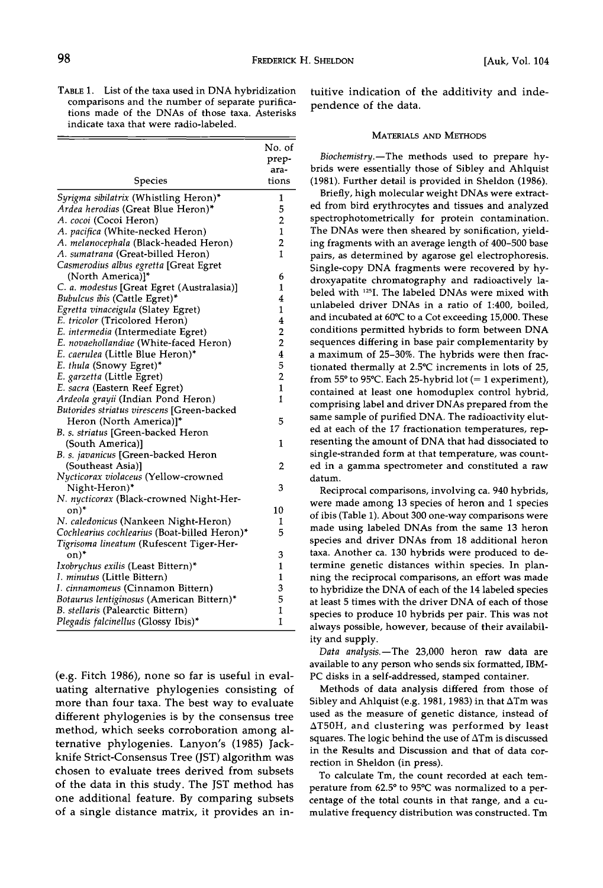**TABLE 1. List of the taxa used in DNA hybridization comparisons and the number of separate purifications made of the DNAs of those taxa. Asterisks indicate taxa that were radio-labeled.** 

|                                              | No. of                  |
|----------------------------------------------|-------------------------|
|                                              | prep-                   |
|                                              | ara-                    |
| Species                                      | tions                   |
| Syrigma sibilatrix (Whistling Heron)*        | 1                       |
| Ardea herodias (Great Blue Heron)*           | 5                       |
| A. cocoi (Cocoi Heron)                       | 2                       |
| A. pacifica (White-necked Heron)             | $\mathbf{1}$            |
| A. melanocephala (Black-headed Heron)        | $\overline{2}$          |
| A. sumatrana (Great-billed Heron)            | 1                       |
| Casmerodius albus egretta [Great Egret       |                         |
| (North America)]*                            | 6                       |
| C. a. modestus [Great Egret (Australasia)]   | 1                       |
| Bubulcus ibis (Cattle Egret)*                | 4                       |
| Egretta vinaceigula (Slatey Egret)           | 1                       |
| E. tricolor (Tricolored Heron)               | 4                       |
| E. intermedia (Intermediate Egret)           | $\overline{\mathbf{c}}$ |
| E. novaehollandiae (White-faced Heron)       | $\overline{2}$          |
| E. caerulea (Little Blue Heron)*             | $\overline{\mathbf{4}}$ |
| E. thula (Snowy Egret)*                      | 5                       |
| E. garzetta (Little Egret)                   | $\overline{2}$          |
| E. sacra (Eastern Reef Egret)                | 1                       |
| Ardeola grayii (Indian Pond Heron)           | 1                       |
| Butorides striatus virescens [Green-backed   |                         |
| Heron (North America)]*                      | 5                       |
| B. s. striatus [Green-backed Heron           |                         |
| (South America)]                             | 1                       |
| B. s. javanicus [Green-backed Heron          |                         |
| (Southeast Asia)]                            | 2                       |
| Nycticorax violaceus (Yellow-crowned         |                         |
| Night-Heron)*                                | 3                       |
| N. nycticorax (Black-crowned Night-Her-      |                         |
| on)*                                         | 10                      |
| N. caledonicus (Nankeen Night-Heron)         | 1                       |
| Cochlearius cochlearius (Boat-billed Heron)* | 5                       |
| Tigrisoma lineatum (Rufescent Tiger-Her-     |                         |
| on)*                                         | 3                       |
| Ixobrychus exilis (Least Bittern)*           | 1                       |
| I. minutus (Little Bittern)                  | 1                       |
| I. cinnamomeus (Cinnamon Bittern)            | 3                       |
| Botaurus lentiginosus (American Bittern)*    | 5                       |
| B. stellaris (Palearctic Bittern)            | $\mathbf{1}$            |
| Plegadis falcinellus (Glossy Ibis)*          | 1                       |

**(e.g. Fitch 1986), none so far is useful in evaluating alternative phylogenies consisting of more than four taxa. The best way to evaluate different phylogenies is by the consensus tree method, which seeks corroboration among alternative phylogenies. Lanyon's (1985) Jackknife Strict-Consensus Tree (JST) algorithm was chosen to evaluate trees derived from subsets of the data in this study. The JST method has one additional feature. By comparing subsets of a single distance matrix, it provides an in-** **tuitive indication of the additivity and independence of the data.** 

### **MATERIALS AND METHODS**

Biochemistry.-The methods used to prepare hy**brids were essentially those of Sibley and Ahlquist (1981). Further detail is provided in Sheldon (1986).** 

**Briefly, high molecular weight DNAs were extracted from bird erythrocytes and tissues and analyzed spectrophotometrically for protein contamination. The DNAs were then sheared by sonification, yielding fragments with an average length of 400-500 base pairs, as determined by agarose gel electrophoresis. Single-copy DNA fragments were recovered by hydroxyapatite chromatography and radioactively labeled with •2sI. The labeled DNAs were mixed with unlabeled driver DNAs in a ratio of 1:400, boiled, and incubated at 60øC to a Cot exceeding 15,000. These conditions permitted hybrids to form between DNA sequences differing in base pair complementarity by a maximum of 25-30%. The hybrids were then fractionated thermally at 2.5øC increments in lots of 25,**  from 55 $\degree$  to 95 $\degree$ C. Each 25-hybrid lot (= 1 experiment), **contained at least one homoduplex control hybrid, comprising label and driver DNAs prepared from the same sample of purified DNA. The radioactivity eluted at each of the 17 fractionation temperatures, representing the amount of DNA that had dissociated to single-stranded form at that temperature, was counted in a gamma spectrometer and constituted a raw datum.** 

**Reciprocal comparisons, involving ca. 940 hybrids, were made among 13 species of heron and 1 species of ibis (Table 1). About 300 one-way comparisons were made using labeled DNAs from the same 13 heron species and driver DNAs from 18 additional heron taxa. Another ca. 130 hybrids were produced to determine genetic distances within species. In planning the reciprocal comparisons, an effort was made to hybridize the DNA of each of the 14 labeled species at least 5 times with the driver DNA of each of those species to produce 10 hybrids per pair. This was not always possible, however, because of their availability and supply.** 

Data analysis.-The 23,000 heron raw data are **available to any person who sends six formatted, IBM-PC disks in a self-addressed, stamped container.** 

**Methods of data analysis differed from those of Sibley and Ahlquist (e.g. 1981, 1983) in that ATm was used as the measure of genetic distance, instead of AT50H, and clustering was performed by least squares. The logic behind the use of ATm is discussed in the Results and Discussion and that of data correction in Sheldon (in press).** 

**To calculate Tm, the count recorded at each tem**perature from 62.5° to 95°C was normalized to a per**centage of the total counts in that range, and a cumulative frequency distribution was constructed. Tm**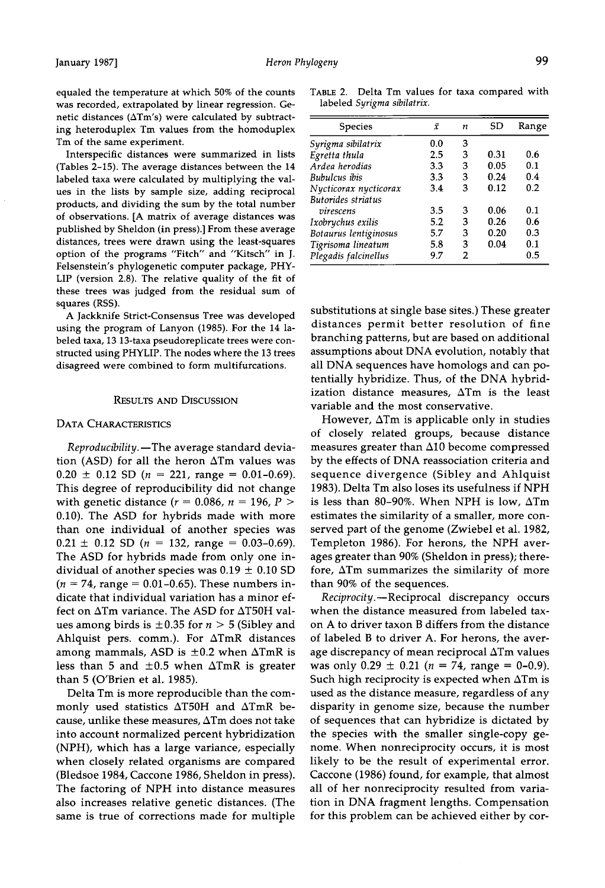**equaled the temperature at which 50% of the counts was recorded, extrapolated by linear regression. Genetic distances (ATm's) were calculated by subtracting heteroduplex Tm values from the homoduplex Tm of the same experiment.** 

**Interspecific distances were summarized in lists (Tables 2-15). The average distances between the 14 labeled taxa were calculated by multiplying the values in the lists by sample size, adding reciprocal products, and dividing the sum by the total number of observations. [A matrix of average distances was published by Sheldon (in press).] From these average distances, trees were drawn using the least-squares option of the programs "Fitch" and "Kitsch" in J. Felsenstein's phylogenetic computer package, PHY-LIP (version 2.8). The relative quality of the fit of these trees was judged from the residual sum of squares (RSS).** 

**A Jackknife Strict-Consensus Tree was developed using the program of Lanyon (1985). For the 14 labeled taxa, 13 13-taxa pseudoreplicate trees were constructed using PHYLIP. The nodes where the 13 trees disagreed were combined to form multifurcations.** 

## **RESULTS AND DISCUSSION**

#### **DATA CHARACTERISTICS**

Reproducibility.—The average standard devia**tion (ASD) for all the heron ATm values was**   $0.20 \pm 0.12$  SD ( $n = 221$ , range = 0.01-0.69). **This degree of reproducibility did not change**  with genetic distance ( $r = 0.086$ ,  $n = 196$ ,  $P >$ **0.10). The ASD for hybrids made with more than one individual of another species was**   $0.21 \pm 0.12$  SD ( $n = 132$ , range = 0.03-0.69). **The ASD for hybrids made from only one in**dividual of another species was  $0.19 \pm 0.10$  SD **(n = 74, range = 0.01-0.65). These numbers indicate that individual variation has a minor effect on ATm variance. The ASD for AT50H val**ues among birds is  $\pm 0.35$  for  $n > 5$  (Sibley and **Ahlquist pets. comm.). For ATmR distances**  among mammals, ASD is  $\pm 0.2$  when  $\Delta T$ mR is less than 5 and  $\pm 0.5$  when  $\Delta$ TmR is greater **than 5 (O'Brien et al. 1985).** 

**Delta Tm is more reproducible than the commonly used statistics AT50H and ATmR because, unlike these measures, ATm does not take into account normalized percent hybridization (NPH), which has a large variance, especially when closely related organisms are compared (Bledsoe 1984, Caccone 1986, Sheldon in press). The factoring of NPH into distance measures also increases relative genetic distances. (The same is true of corrections made for multiple** 

**TABLE 2. Delta Tm values for taxa compared with labeled Syrigrna sibilatrix.** 

| Species               | Ÿ   | n | SD   | Range |
|-----------------------|-----|---|------|-------|
| Syrigma sibilatrix    | 0.0 | 3 |      |       |
| Egretta thula         | 2.5 | 3 | 0.31 | 0.6   |
| Ardea herodias        | 3.3 | 3 | 0.05 | 0.1   |
| Bubulcus ibis         | 3.3 | 3 | 0.24 | 0.4   |
| Nycticorax nycticorax | 3.4 | 3 | 0.12 | 0.2   |
| Butorides striatus    |     |   |      |       |
| virescens             | 3.5 | 3 | 0.06 | 0.1   |
| Ixobrychus exilis     | 5.2 | 3 | 0.26 | 0.6   |
| Botaurus lentiginosus | 5.7 | 3 | 0.20 | 0.3   |
| Tigrisoma lineatum    | 5.8 | 3 | 0.04 | 0.1   |
| Plegadis falcinellus  | 9.7 | 2 |      | 0.5   |

**substitutions at single base sites.) These greater distances permit better resolution of fine branching patterns, but are based on additional assumptions about DNA evolution, notably that all DNA sequences have homologs and can potentially hybridize. Thus, of the DNA hybridization distance measures, ATm is the least variable and the most conservative.** 

**However, ATm is applicable only in studies of closely related groups, because distance measures greater than A10 become compressed by the effects of DNA reassociation criteria and sequence divergence (Sibley and Ahlquist 1983). Delta Tm also loses its usefulness if NPH is less than 80-90%. When NPH is low, ATm estimates the similarity of a smaller, more conserved part of the genome (Zwiebel et al. 1982, Templeton 1986). For herons, the NPH averages greater than 90% (Sheldon in press); therefore, ATm summarizes the similarity of more than 90% of the sequences.** 

**Reciprocity.--Reciprocal discrepancy occurs when the distance measured from labeled taxon A to driver taxon B differs from the distance of labeled B to driver A. For herons, the average discrepancy of mean reciprocal ATm values**  was only  $0.29 \pm 0.21$  ( $n = 74$ , range = 0-0.9). **Such high reciprocity is expected when ATm is used as the distance measure, regardless of any disparity in genome size, because the number of sequences that can hybridize is dictated by the species with the smaller single-copy genome. When nonreciprocity occurs, it is most likely to be the result of experimental error. Caccone (1986) found, for example, that almost all of her nonreciprocity resulted from variation in DNA fragment lengths. Compensation for this problem can be achieved either by cot-**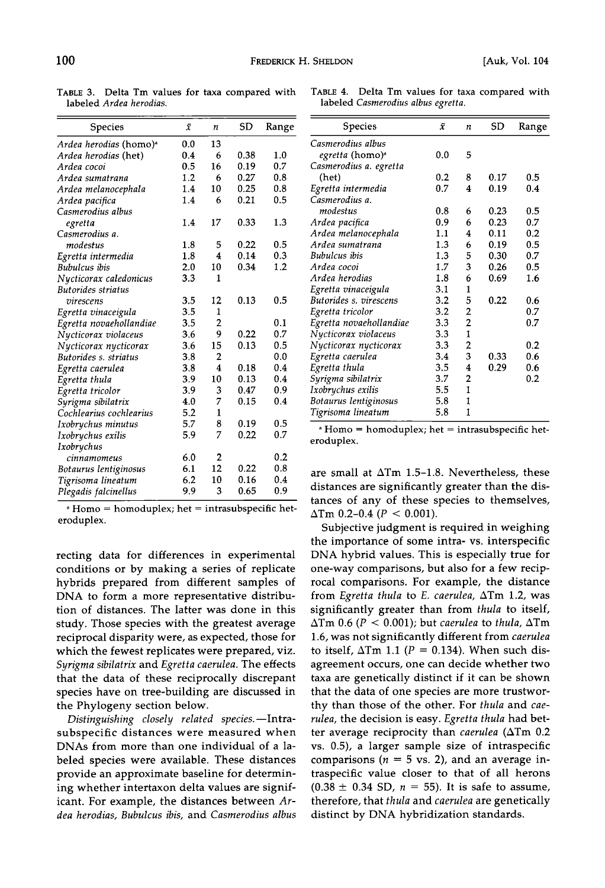**Species**  $\bar{x}$  n SD Range Ardea herodias (homo)<sup>a</sup> 0.0 13<br>*Ardea herodias* (het) 0.4 6 **Ardea herodias (bet) 0.4 6 0.38 1.0 Ardea cocoi 0.5 16 0.19 0.7 Ardea sumatrana 1.2 6 0.27 0.8 Ardea melanocephala 1.4 10 0.25 0.8 Ardea pacifica 1.4 6 0.21 0.5 Casmerodius albus egretta 1.4 17 0.33 1.3 Casmerodius a. modestus 1.8 5 0.22 0.5 Egretta intermedia 1.8 4 0.14 0.3 Bubulcus ibis 2.0 10 0.34 1.2 Nycticorax caledonicus 3.3 1 Butorides striatus virescens 3.5 12 0.13 0.5 Egretta vinaceigula 3.5 1 Egretta novaehollandiae 3.5 2 0.1 Nycticorax violaceus 3.6 9 0.22 0.7 Nycticorax nycticorax 3.6 15 0.13 0.5 Butorides s. striatus 3.8 2 0.0 Egretta caerulea 3.8 4 0.18 0.4 Egretta thula 3.9 10 0.13 0.4 Egretta tricolor 3.9 3 0.47 0.9 Syrigma sibilatrix 4.0 7 0.15 0.4 Cochlearius cochlearius 5.2 1 Ixobrychus minutus 5.7 8 0.19 0.5 Ixobrychus exilis 5.9 7 0.22 0.7 Ixobrychus cinnamomeus 6.0 2 0.2 Botaurus lentiginosus 6.1 12 0.22 0.8 Tigrisoma lineatum 6.2 10 0.16 0.4 Plegadis falcinellus 9.9 3 0.65 0.9** 

**TABLE 3. Delta Tm values for taxa compared with labeled Ardea herodias.** 

**Homo = homoduplex; bet = intrasubspecific heteroduplex.** 

**recting data for differences in experimental conditions or by making a series of replicate hybrids prepared from different samples of DNA to form a more representative distribution of distances. The latter was done in this study. Those species with the greatest average reciprocal disparity were, as expected, those for which the fewest replicates were prepared, viz. Syrigma sibilatrix and Egretta caerulea. The effects that the data of these reciprocally discrepant species have on tree-building are discussed in the Phylogeny section below.** 

Distinguishing closely related species.—Intra**subspecific distances were measured when DNAs from more than one individual of a labeled species were available. These distances provide an approximate baseline for determining whether intertaxon delta values are significant. For example, the distances between Ardea herodias, Bubulcus ibis, and Casmerodius albus** 

|                                    |  |  | TABLE 4. Delta Tm values for taxa compared with |  |
|------------------------------------|--|--|-------------------------------------------------|--|
| labeled Casmerodius albus egretta. |  |  |                                                 |  |

| Species                 | Ÿ   | n                       | SD   | Range |
|-------------------------|-----|-------------------------|------|-------|
| Casmerodius albus       |     |                         |      |       |
| <i>egretta</i> (homo)ª  | 0.0 | 5                       |      |       |
| Casmerodius a. egretta  |     |                         |      |       |
| (het)                   | 0.2 | 8                       | 0.17 | 0.5   |
| Egretta intermedia      | 0.7 | $\overline{\mathbf{4}}$ | 0.19 | 0.4   |
| Casmerodius a.          |     |                         |      |       |
| modestus                | 0.8 | 6                       | 0.23 | 0.5   |
| Ardea pacifica          | 0.9 | 6                       | 0.23 | 0.7   |
| Ardea melanocephala     | 1.1 | 4                       | 0.11 | 0.2   |
| Ardea sumatrana         | 1.3 | 6                       | 0.19 | 0.5   |
| <b>Bubulcus</b> ibis    | 1.3 | 5                       | 0.30 | 0.7   |
| Ardea cocoi             | 1.7 | 3                       | 0.26 | 0.5   |
| Ardea herodias          | 1.8 | 6                       | 0.69 | 1.6   |
| Egretta vinaceigula     | 3.1 | 1                       |      |       |
| Butorides s. virescens  | 3.2 | 5                       | 0.22 | 0.6   |
| Egretta tricolor        | 3.2 | 2                       |      | 0.7   |
| Egretta novaehollandiae | 3.3 | $\overline{2}$          |      | 0.7   |
| Nycticorax violaceus    | 3.3 | $\mathbf{1}$            |      |       |
| Nycticorax nycticorax   | 3.3 | $\overline{a}$          |      | 0.2   |
| Egretta caerulea        | 3.4 | 3                       | 0.33 | 0.6   |
| Egretta thula           | 3.5 | 4                       | 0.29 | 0.6   |
| Syrigma sibilatrix      | 3.7 | 2                       |      | 0.2   |
| Ixobrychus exilis       | 5.5 | $\mathbf{1}$            |      |       |
| Botaurus lentiginosus   | 5.8 | 1                       |      |       |
| Tigrisoma lineatum      | 5.8 | 1                       |      |       |
|                         |     |                         |      |       |

**Homo = homoduplex; bet = intrasubspecific heteroduplex.** 

**are small at ATm 1.5-1.8. Nevertheless, these distances are significantly greater than the distances of any of these species to themselves,**   $\Delta$ Tm 0.2-0.4 ( $P < 0.001$ ).

**Subjective judgment is required in weighing the importance of some intra- vs. interspecific DNA hybrid values. This is especially true for one-way comparisons, but also for a few reciprocal comparisons. For example, the distance from Egretta thula to E. caerulea, ATm 1.2, was significantly greater than from thula to itself,**   $\Delta$ Tm 0.6 ( $P < 0.001$ ); but caerulea to thula,  $\Delta$ Tm **1.6, was not significantly different from caerulea**  to itself,  $\Delta T$ m 1.1 ( $P = 0.134$ ). When such dis**agreement occurs, one can decide whether two taxa are genetically distinct if it can be shown that the data of one species are more trustworthy than those of the other. For thula and caerulea, the decision is easy. Egretta thula had better average reciprocity than caerulea (ATm 0.2 vs. 0.5), a larger sample size of intraspecific**  comparisons ( $n = 5$  vs. 2), and an average in**traspecific value closer to that of all herons**   $(0.38 \pm 0.34 \text{ SD}, n = 55)$ . It is safe to assume, **therefore, that thula and caerulea are genetically distinct by DNA hybridization standards.**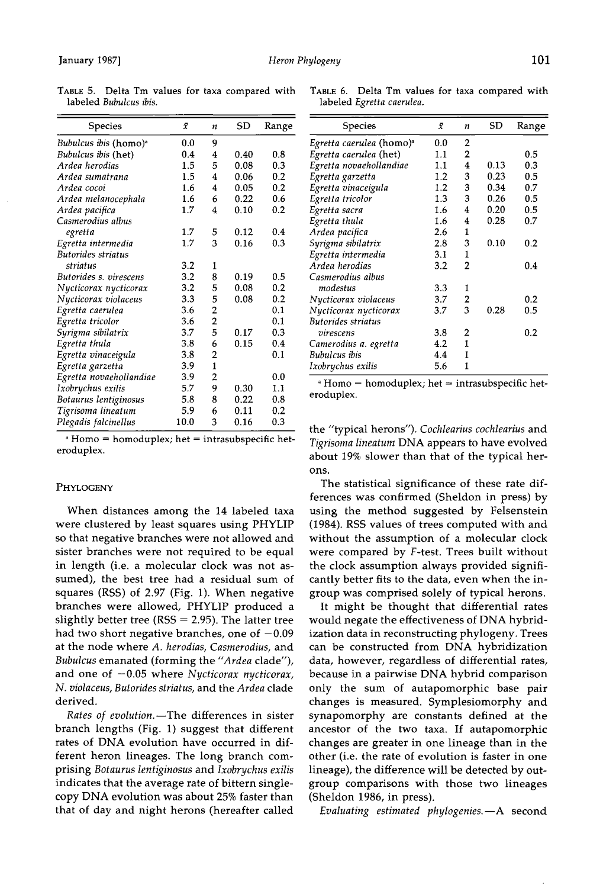| Species                           | $\bar{x}$ | $\boldsymbol{n}$   | SD   | Range | <b>Species</b>                                    | $\bar{x}$ | $\boldsymbol{n}$ | SD   | Rang |
|-----------------------------------|-----------|--------------------|------|-------|---------------------------------------------------|-----------|------------------|------|------|
| Bubulcus ibis (homo) <sup>a</sup> | 0.0       | 9                  |      |       | Egretta caerulea (homo) <sup>a</sup>              | 0.0       | 2                |      |      |
| Bubulcus ibis (het)               | 0.4       | $\overline{\bf 4}$ | 0.40 | 0.8   | Egretta caerulea (het)                            | 1.1       | 2                |      | 0.5  |
| Ardea herodias                    | 1.5       | 5                  | 0.08 | 0.3   | Egretta novaehollandiae                           | 1.1       | 4                | 0.13 | 0.3  |
| Ardea sumatrana                   | 1.5       | 4                  | 0.06 | 0.2   | Egretta garzetta                                  | 1.2       | 3                | 0.23 | 0.5  |
| Ardea cocoi                       | 1.6       | 4                  | 0.05 | 0.2   | Egretta vinaceigula                               | 1.2       | 3                | 0.34 | 0.7  |
| Ardea melanocephala               | 1.6       | 6                  | 0.22 | 0.6   | Egretta tricolor                                  | 1.3       | 3                | 0.26 | 0.5  |
| Ardea pacifica                    | 1.7       | 4                  | 0.10 | 0.2   | Egretta sacra                                     | 1.6       | 4                | 0.20 | 0.5  |
| Casmerodius albus                 |           |                    |      |       | Egretta thula                                     | 1.6       | 4                | 0.28 | 0.7  |
| egretta                           | 1.7       | 5                  | 0.12 | 0.4   | Ardea pacifica                                    | 2.6       | $\mathbf{1}$     |      |      |
| Egretta intermedia                | 1.7       | 3                  | 0.16 | 0.3   | Syrigma sibilatrix                                | 2.8       | 3                | 0.10 | 0.2  |
| <b>Butorides striatus</b>         |           |                    |      |       | Egretta intermedia                                | 3.1       | 1                |      |      |
| striatus                          | 3.2       | 1                  |      |       | Ardea herodias                                    | 3.2       | $\overline{2}$   |      | 0.4  |
| Butorides s. virescens            | 3.2       | 8                  | 0.19 | 0.5   | Casmerodius albus                                 |           |                  |      |      |
| Nycticorax nycticorax             | 3.2       | 5                  | 0.08 | 0.2   | modestus                                          | 3.3       | 1                |      |      |
| Nycticorax violaceus              | 3.3       | 5                  | 0.08 | 0.2   | Nycticorax violaceus                              | 3.7       | 2                |      | 0.2  |
| Egretta caerulea                  | 3.6       | $\overline{2}$     |      | 0.1   | Nycticorax nycticorax                             | 3.7       | 3                | 0.28 | 0.5  |
| Egretta tricolor                  | 3.6       | 2                  |      | 0.1   | Butorides striatus                                |           |                  |      |      |
| Syrigma sibilatrix                | 3.7       | 5                  | 0.17 | 0.3   | virescens                                         | 3.8       | 2                |      | 0.2  |
| Egretta thula                     | 3.8       | 6                  | 0.15 | 0.4   | Camerodius a. egretta                             | 4.2       | 1                |      |      |
| Egretta vinaceigula               | 3.8       | $\overline{2}$     |      | 0.1   | Bubulcus ibis                                     | 4.4       |                  |      |      |
| Egretta garzetta                  | 3.9       | $\mathbf{1}$       |      |       | Ixobrychus exilis                                 | 5.6       | 1                |      |      |
| Egretta novaehollandiae           | 3.9       | 2                  |      | 0.0   |                                                   |           |                  |      |      |
| Ixobrychus exilis                 | 5.7       | 9                  | 0.30 | 1.1   | $*$ Homo = homoduplex; het = intrasubspecific he  |           |                  |      |      |
| Botaurus lentiginosus             | 5.8       | 8                  | 0.22 | 0.8   | eroduplex.                                        |           |                  |      |      |
| Tigrisoma lineatum                | 5.9       | 6                  | 0.11 | 0.2   |                                                   |           |                  |      |      |
| Plegadis falcinellus              | 10.0      | 3                  | 0.16 | 0.3   | the "typical herons") Cochlearius cochlearius and |           |                  |      |      |

**TABLE 5. Delta Tm values for taxa compared with TABLE 6. Delta Tm values for taxa compared with** 

**Homo • homoduplex; het = intrasubspecific heteroduplex.** 

## **PHYLOGENY**

**When distances among the 14 labeled taxa were clustered by least squares using PHYLIP so that negative branches were not allowed and sister branches were not required to be equal in length (i.e. a molecular clock was not assumed), the best tree had a residual sum of squares (RSS) of 2.97 (Fig. 1). When negative branches were allowed, PHYLIP produced a slightly better tree (RSS = 2.95). The latter tree**  had two short negative branches, one of  $-0.09$ **at the node where A. herodias, Casmerodius, and Bubulcus emanated (forming the "Ardea clade"), and one of -0.05 where Nycticorax nycticorax, N. violaceus, Butorides striatus, and the Ardea clade derived.** 

Rates of evolution.-The differences in sister **branch lengths (Fig. 1) suggest that different rates of DNA evolution have occurred in different heron lineages. The long branch comprising Botaurus lentiginosus and Ixobrychus exilis indicates that the average rate of bittern singlecopy DNA evolution was about 25% faster than that of day and night herons (hereafter called** 

labeled Egretta caerulea.

| Species                                 | $\bar{x}$ | n              | SD   | Range | Species                              | $\bar{x}$ | $\boldsymbol{n}$ | <b>SD</b> | Range |
|-----------------------------------------|-----------|----------------|------|-------|--------------------------------------|-----------|------------------|-----------|-------|
| <i>ibulcus ibis</i> (homo) <sup>a</sup> | 0.0       | 9              |      |       | Egretta caerulea (homo) <sup>a</sup> | 0.0       | 2                |           |       |
| <i>ibulcus ibis</i> (het)               | 0.4       | 4              | 0.40 | 0.8   | Egretta caerulea (het)               | 1.1       | $\overline{2}$   |           | 0.5   |
| dea herodias                            | 1.5       | 5              | 0.08 | 0.3   | Egretta novaehollandiae              | 1.1       | 4                | 0.13      | 0.3   |
| dea sumatrana                           | 1.5       | 4              | 0.06 | 0.2   | Egretta garzetta                     | 1.2       | 3                | 0.23      | 0.5   |
| dea cocoi                               | 1.6       | 4              | 0.05 | 0.2   | Egretta vinaceigula                  | 1.2       | 3                | 0.34      | 0.7   |
| dea melanocephala                       | 1.6       | 6              | 0.22 | 0.6   | Egretta tricolor                     | 1.3       | 3                | 0.26      | 0.5   |
| dea pacifica                            | 1.7       | 4              | 0.10 | 0.2   | Egretta sacra                        | 1.6       | 4                | 0.20      | 0.5   |
| ısmerodius albus                        |           |                |      |       | Egretta thula                        | 1.6       | 4                | 0.28      | 0.7   |
| egretta                                 | 1.7       | 5              | 0.12 | 0.4   | Ardea pacifica                       | 2.6       | 1                |           |       |
| retta intermedia                        | 1.7       | 3              | 0.16 | 0.3   | Syrigma sibilatrix                   | 2.8       | 3                | 0.10      | 0.2   |
| torides striatus                        |           |                |      |       | Egretta intermedia                   | 3.1       | 1                |           |       |
| striatus                                | 3.2       | 1              |      |       | Ardea herodias                       | 3.2       | $\overline{2}$   |           | 0.4   |
| torides s. virescens                    | 3.2       | 8              | 0.19 | 0.5   | Casmerodius albus                    |           |                  |           |       |
| ycticorax nycticorax                    | 3.2       | 5              | 0.08 | 0.2   | modestus                             | 3.3       | 1                |           |       |
| ycticorax violaceus                     | 3.3       | 5              | 0.08 | 0.2   | Nycticorax violaceus                 | 3.7       | $\overline{2}$   |           | 0.2   |
| retta caerulea                          | 3.6       | 2              |      | 0.1   | Nycticorax nycticorax                | 3.7       | 3                | 0.28      | 0.5   |
| retta tricolor                          | 3.6       | $\overline{2}$ |      | 0.1   | Butorides striatus                   |           |                  |           |       |
| rigma sibilatrix                        | 3.7       | 5              | 0.17 | 0.3   | virescens                            | 3.8       | 2                |           | 0.2   |
| retta thula                             | 3.8       | 6              | 0.15 | 0.4   | Camerodius a. egretta                | 4.2       | 1                |           |       |
| retta vinaceigula                       | 3.8       | 2              |      | 0.1   | Bubulcus ibis                        | 4.4       | 1                |           |       |
| retta garzetta                          | 3.9       | 1              |      |       | Ixobrychus exilis                    | 5.6       | 1                |           |       |
| ratta nonaskollandias                   | າ ດ       |                |      | ሰ ሰ   |                                      |           |                  |           |       |

the "typical herons"). Cochlearius cochlearius and **Tigrisoma lineatum DNA appears to have evolved about 19% slower than that of the typical herons.** 

**The statistical significance of these rate differences was confirmed (Sheldon in press) by using the method suggested by Felsenstein (1984). RSS values of trees computed with and without the assumption of a molecular clock were compared by F-test. Trees built without the clock assumption always provided significantly better fits to the data, even when the ingroup was comprised solely of typical herons.** 

**It might be thought that differential rates would negate the effectiveness of DNA hybridization data in reconstructing phylogeny. Trees can be constructed from DNA hybridization data, however, regardless of differential rates, because in a pairwise DNA hybrid comparison only the sum of autapomorphic base pair changes is measured. Symplesiomorphy and synapomorphy are constants defined at the ancestor of the two taxa. If autapomorphic changes are greater in one lineage than in the other (i.e. the rate of evolution is faster in one lineage), the difference will be detected by outgroup comparisons with those two lineages (Sheldon 1986, in press).** 

Evaluating estimated phylogenies.-A second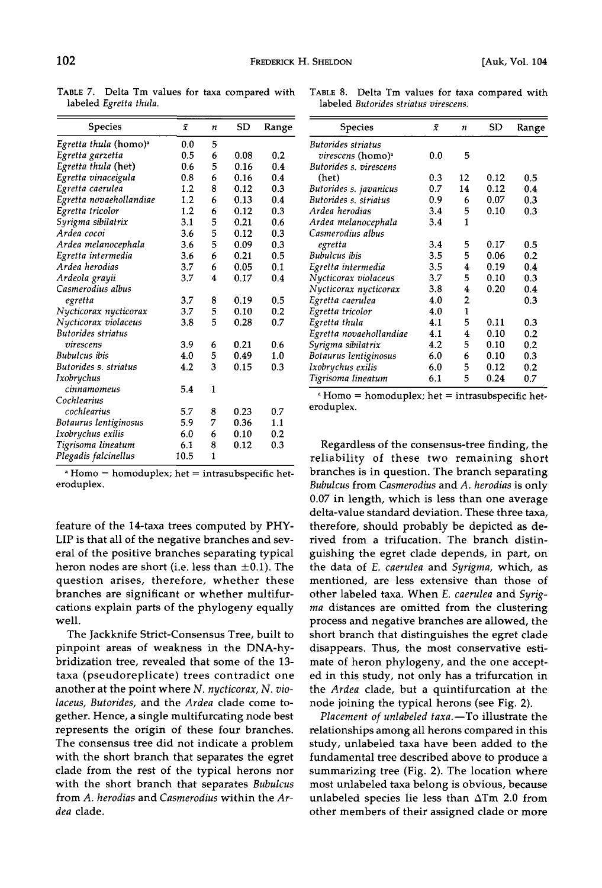**TABLE 7. Delta Tm values for taxa compared with TABLE 8. Delta Tm values for taxa compared with** 

| Species                           | ī    | $\boldsymbol{n}$ | <b>SD</b> | Range | Species                                                | $\bar{x}$ | $\boldsymbol{n}$        | SD   | Rang |
|-----------------------------------|------|------------------|-----------|-------|--------------------------------------------------------|-----------|-------------------------|------|------|
| Egretta thula (homo) <sup>a</sup> | 0.0  | 5                |           |       | Butorides striatus                                     |           |                         |      |      |
| Egretta garzetta                  | 0.5  | 6                | 0.08      | 0.2   | virescens (homo) <sup>a</sup>                          | 0.0       | 5                       |      |      |
| Egretta thula (het)               | 0.6  | 5                | 0.16      | 0.4   | Butorides s. virescens                                 |           |                         |      |      |
| Egretta vinaceigula               | 0.8  | 6                | 0.16      | 0.4   | (het)                                                  | 0.3       | 12                      | 0.12 | 0.5  |
| Egretta caerulea                  | 1.2  | 8                | 0.12      | 0.3   | Butorides s. javanicus                                 | 0.7       | 14                      | 0.12 | 0.4  |
| Egretta novaehollandiae           | 1.2  | 6                | 0.13      | 0.4   | Butorides s. striatus                                  | 0.9       | 6                       | 0.07 | 0.3  |
| Egretta tricolor                  | 1.2  | 6                | 0.12      | 0.3   | Ardea herodias                                         | 3.4       | 5                       | 0.10 | 0.3  |
| Syrigma sibilatrix                | 3.1  | 5                | 0.21      | 0.6   | Ardea melanocephala                                    | 3.4       | 1                       |      |      |
| Ardea cocoi                       | 3.6  | 5                | 0.12      | 0.3   | Casmerodius albus                                      |           |                         |      |      |
| Ardea melanocephala               | 3.6  | 5                | 0.09      | 0.3   | egretta                                                | 3.4       | 5                       | 0.17 | 0.5  |
| Egretta intermedia                | 3.6  | 6                | 0.21      | 0.5   | <b>Bubulcus</b> ibis                                   | 3.5       | 5                       | 0.06 | 0.2  |
| Ardea herodias                    | 3.7  | 6                | 0.05      | 0.1   | Egretta intermedia                                     | 3.5       | $\overline{\mathbf{4}}$ | 0.19 | 0.4  |
| Ardeola grayii                    | 3.7  | 4                | 0.17      | 0.4   | Nycticorax violaceus                                   | 3.7       | 5                       | 0.10 | 0.3  |
| Casmerodius albus                 |      |                  |           |       | Nycticorax nycticorax                                  | 3.8       | 4                       | 0.20 | 0.4  |
| egretta                           | 3.7  | 8                | 0.19      | 0.5   | Egretta caerulea                                       | 4.0       | $\overline{2}$          |      | 0.3  |
| Nycticorax nycticorax             | 3.7  | 5                | 0.10      | 0.2   | Egretta tricolor                                       | 4.0       | 1                       |      |      |
| Nycticorax violaceus              | 3.8  | 5                | 0.28      | 0.7   | Egretta thula                                          | 4.1       | 5                       | 0.11 | 0.3  |
| Butorides striatus                |      |                  |           |       | Egretta novaehollandiae                                | 4.1       | 4                       | 0.10 | 0.2  |
| virescens                         | 3.9  | 6                | 0.21      | 0.6   | Syrigma sibilatrix                                     | 4.2       | 5                       | 0.10 | 0.2  |
| Bubulcus ibis                     | 4.0  | 5                | 0.49      | 1.0   | Botaurus lentiginosus                                  | 6.0       | 6                       | 0.10 | 0.3  |
| Butorides s. striatus             | 4.2  | 3                | 0.15      | 0.3   | Ixobrychus exilis                                      | 6.0       | 5                       | 0.12 | 0.2  |
| Ixobrychus                        |      |                  |           |       | Tigrisoma lineatum                                     | 6.1       | 5                       | 0.24 | 0.7  |
| cinnamomeus                       | 5.4  | 1                |           |       |                                                        |           |                         |      |      |
| Cochlearius                       |      |                  |           |       | $\alpha$ Homo = homoduplex; het = intrasubspecific het |           |                         |      |      |
| cochlearius                       | 5.7  | 8                | 0.23      | 0.7   | eroduplex.                                             |           |                         |      |      |
| Botaurus lentiginosus             | 5.9  | 7                | 0.36      | 1.1   |                                                        |           |                         |      |      |
| Ixobrychus exilis                 | 6.0  | 6                | 0.10      | 0.2   |                                                        |           |                         |      |      |
| Tigrisoma lineatum                | 6.1  | 8                | 0.12      | 0.3   | Regardless of the consensus-tree finding, th           |           |                         |      |      |
| Plegadis falcinellus              | 10.5 | 1                |           |       | reliability of these two remaining shor                |           |                         |      |      |

**Homo = homoduplex; het = intrasubspecific heteroduplex.** 

**feature of the 14-taxa trees computed by PHY-LIP is that all of the negative branches and several of the positive branches separating typical**  heron nodes are short (i.e. less than  $\pm 0.1$ ). The **question arises, therefore, whether these branches are significant or whether multifurcations explain parts of the phylogeny equally well.** 

**The Jackknife Strict-Consensus Tree, built to pinpoint areas of weakness in the DNA-hybridization tree, revealed that some of the 13 taxa (pseudoreplicate) trees contradict one another at the point where N. nycticorax, N. violaceus, Butorides, and the Ardea clade come together. Hence, a single multifurcating node best represents the origin of these four branches. The consensus tree did not indicate a problem with the short branch that separates the egret clade from the rest of the typical herons nor with the short branch that separates Bubulcus from A. herodias and Casmerodius within the Ardea clade.** 

labeled Butorides striatus virescens.

| Species                | $\bar{x}$ | $\boldsymbol{n}$ | <b>SD</b> | Range | Species                       | $\bar{x}$ | $\boldsymbol{n}$ | SD   | Range |
|------------------------|-----------|------------------|-----------|-------|-------------------------------|-----------|------------------|------|-------|
| retta thula (homo)ª    | 0.0       | 5                |           |       | Butorides striatus            |           |                  |      |       |
| retta garzetta         | 0.5       | 6                | 0.08      | 0.2   | virescens (homo) <sup>a</sup> | 0.0       | 5                |      |       |
| rretta thula (het)     | 0.6       | 5                | 0.16      | 0.4   | Butorides s. virescens        |           |                  |      |       |
| retta vinaceigula      | 0.8       | 6                | 0.16      | 0.4   | (het)                         | 0.3       | 12               | 0.12 | 0.5   |
| rretta caerulea        | 1.2       | 8                | 0.12      | 0.3   | Butorides s. javanicus        | 0.7       | 14               | 0.12 | 0.4   |
| rretta novaehollandiae | 1.2       | 6                | 0.13      | 0.4   | Butorides s. striatus         | 0.9       | 6                | 0.07 | 0.3   |
| retta tricolor         | 1.2       | 6                | 0.12      | 0.3   | Ardea herodias                | 3.4       | 5                | 0.10 | 0.3   |
| rigma sibilatrix       | 3.1       | 5                | 0.21      | 0.6   | Ardea melanocephala           | 3.4       | 1                |      |       |
| rdea cocoi             | 3.6       | 5                | 0.12      | 0.3   | Casmerodius albus             |           |                  |      |       |
| rdea melanocephala     | 3.6       | 5                | 0.09      | 0.3   | egretta                       | 3.4       | 5                | 0.17 | 0.5   |
| retta intermedia       | 3.6       | 6                | 0.21      | 0.5   | Bubulcus ibis                 | 3.5       | 5                | 0.06 | 0.2   |
| rdea herodias          | 3.7       | 6                | 0.05      | 0.1   | Egretta intermedia            | 3.5       | 4                | 0.19 | 0.4   |
| rdeola grayii          | 3.7       | 4                | 0.17      | 0.4   | Nycticorax violaceus          | 3.7       | 5                | 0.10 | 0.3   |
| ısmerodius albus       |           |                  |           |       | Nycticorax nycticorax         | 3.8       | 4                | 0.20 | 0.4   |
| egretta                | 3.7       | 8                | 0.19      | 0.5   | Egretta caerulea              | 4.0       | $\overline{2}$   |      | 0.3   |
| ycticorax nycticorax   | 3.7       | 5                | 0.10      | 0.2   | Egretta tricolor              | 4.0       |                  |      |       |
| ycticorax violaceus    | 3.8       | 5                | 0.28      | 0.7   | Egretta thula                 | 4.1       | 5                | 0.11 | 0.3   |
| itorides striatus      |           |                  |           |       | Egretta novaehollandiae       | 4.1       | 4                | 0.10 | 0.2   |
| virescens              | 3.9       | 6                | 0.21      | 0.6   | Syrigma sibilatrix            | 4.2       | 5                | 0.10 | 0.2   |
| ıbulcus ibis           | 4.0       | 5                | 0.49      | 1.0   | Botaurus lentiginosus         | 6.0       | 6                | 0.10 | 0.3   |
| itorides s. striatus   | 4.2       | 3                | 0.15      | 0.3   | Ixobrychus exilis             | 6.0       | 5                | 0.12 | 0.2   |
| obrychus               |           |                  |           |       | Tigrisoma lineatum            | 6.1       | 5                | 0.24 | 0.7   |
|                        |           |                  |           |       |                               |           |                  |      |       |

Regardless of the consensus-tree finding, the reliability of these two remaining short **branches is in question. The branch separating Bubulcus from Casmerodius and A. herodias is only 0.07 in length, which is less than one average delta-value standard deviation. These three taxa, therefore, should probably be depicted as derived from a trifucation. The branch distinguishing the egret clade depends, in part, on the data of E. caerulea and Syrigma, which, as mentioned, are less extensive than those of other labeled taxa. When E. caerulea and Syrigma distances are omitted from the clustering process and negative branches are allowed, the short branch that distinguishes the egret clade disappears. Thus, the most conservative estimate of heron phylogeny, and the one accepted in this study, not only has a trifurcation in the Ardea clade, but a quintifurcation at the node joining the typical herons (see Fig. 2).** 

Placement of unlabeled taxa.-To illustrate the **relationships among all herons compared in this study, unlabeled taxa have been added to the fundamental tree described above to produce a summarizing tree (Fig. 2). The location where most unlabeled taxa belong is obvious, because**  unlabeled species lie less than  $\Delta Tm$  2.0 from **other members of their assigned clade or more**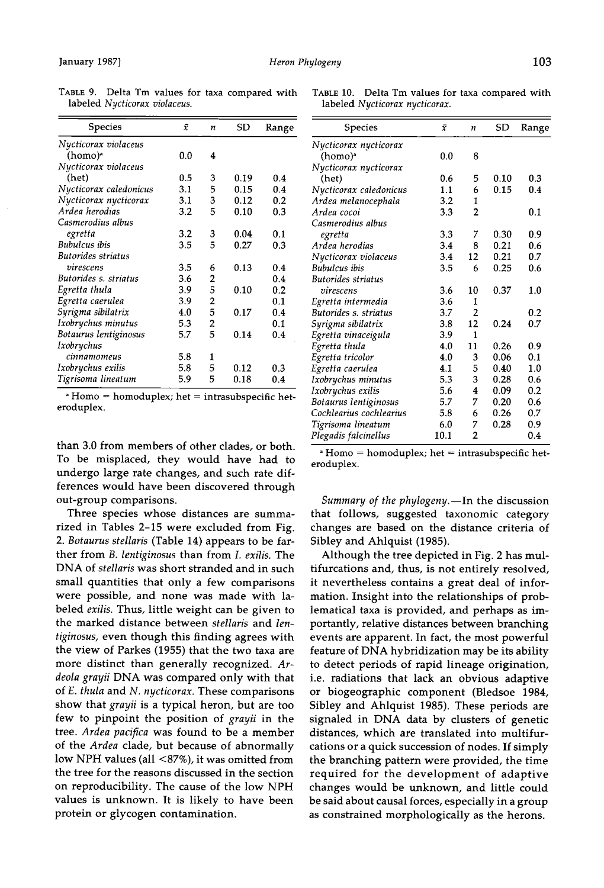| Species                | ī   | $\boldsymbol{n}$ | SD   | Range |
|------------------------|-----|------------------|------|-------|
| Nycticorax violaceus   |     |                  |      |       |
| (homo) <sup>a</sup>    | 0.0 | 4                |      |       |
| Nycticorax violaceus   |     |                  |      |       |
| (het)                  | 0.5 | 3                | 0.19 | 0.4   |
| Nycticorax caledonicus | 3.1 | 5                | 0.15 | 0.4   |
| Nycticorax nycticorax  | 3.1 | 3                | 0.12 | 0.2   |
| Ardea herodias         | 3.2 | 5                | 0.10 | 0.3   |
| Casmerodius albus      |     |                  |      |       |
| egretta                | 3.2 | 3                | 0.04 | 0.1   |
| Bubulcus ibis          | 3.5 | 5                | 0.27 | 0.3   |
| Butorides striatus     |     |                  |      |       |
| virescens              | 3.5 | 6                | 0.13 | 0.4   |
| Butorides s. striatus  | 3.6 | 2                |      | 0.4   |
| Egretta thula          | 3.9 | 5                | 0.10 | 0.2   |
| Egretta caerulea       | 3.9 | 2                |      | 0.1   |
| Syrigma sibilatrix     | 4.0 | 5                | 0.17 | 0.4   |
| Ixobrychus minutus     | 5.3 | 2                |      | 0.1   |
| Botaurus lentiginosus  | 5.7 | 5                | 0.14 | 0.4   |
| Ixobrychus             |     |                  |      |       |
| cinnamomeus            | 5.8 | 1                |      |       |
| Ixobrychus exilis      | 5.8 | 5                | 0.12 | 0.3   |
| Tigrisoma lineatum     | 5.9 | 5                | 0.18 | 0.4   |
|                        |     |                  |      |       |

**TABLE 9. Delta Tm values for taxa compared with labeled Nycticorax violaceus.** 

**Homo = homoduplex; het = intrasubspecific heteroduplex.** 

**than 3.0 from members of other clades, or both. To be misplaced, they would have had to undergo large rate changes, and such rate differences would have been discovered through out-group comparisons.** 

**Three species whose distances are summarized in Tables 2-15 were excluded from Fig.**  2. Botaurus stellaris (Table 14) appears to be far**ther from B. lentiginosus than from I. exilis. The DNA of stellaris was short stranded and in such small quantities that only a few comparisons were possible, and none was made with labeled exilis. Thus, little weight can be given to the marked distance between stellaris and lentiginosus, even though this finding agrees with the view of Parkes (1955) that the two taxa are more distinct than generally recognized. Ardeola grayii DNA was compared only with that of E. thula and N. nycticorax. These comparisons show that grayii is a typical heron, but are too few to pinpoint the position of grayii in the tree. Ardea pacifica was found to be a member of the Ardea clade, but because of abnormally low NPH values (all <87%), it was omitted from the tree for the reasons discussed in the section on reproducibility. The cause of the low NPH values is unknown. It is likely to have been protein or glycogen contamination.** 

| <b>Species</b>          | ī    | n              | SD   | Range |
|-------------------------|------|----------------|------|-------|
| Nycticorax nycticorax   |      |                |      |       |
| (homo)ª                 | 0.0  | 8              |      |       |
| Nycticorax nycticorax   |      |                |      |       |
| (het)                   | 0.6  | 5              | 0.10 | 0.3   |
| Nycticorax caledonicus  | 1.1  | 6              | 0.15 | 0.4   |
| Ardea melanocephala     | 3.2  | 1              |      |       |
| Ardea cocoi             | 3.3  | $\overline{2}$ |      | 0.1   |
| Casmerodius albus       |      |                |      |       |
| egretta                 | 3.3  | 7              | 0.30 | 0.9   |
| Ardea herodias          | 3.4  | 8              | 0.21 | 0.6   |
| Nycticorax violaceus    | 3.4  | 12             | 0.21 | 0.7   |
| Bubulcus ibis           | 3.5  | 6              | 0.25 | 0.6   |
| Butorides striatus      |      |                |      |       |
| virescens               | 3.6  | 10             | 0.37 | 1.0   |
| Egretta intermedia      | 3.6  | 1              |      |       |
| Butorides s. striatus   | 3.7  | 2              |      | 0.2   |
| Syrigma sibilatrix      | 3.8  | 12             | 0.24 | 0.7   |
| Egretta vinaceigula     | 3.9  | 1              |      |       |
| Egretta thula           | 4.0  | 11             | 0.26 | 0.9   |
| Egretta tricolor        | 4.0  | 3              | 0.06 | 0.1   |
| Egretta caerulea        | 4.1  | 5              | 0.40 | 1.0   |
| Ixobrychus minutus      | 5.3  | 3              | 0.28 | 0.6   |
| Ixobrychus exilis       | 5.6  | 4              | 0.09 | 0.2   |
| Botaurus lentiginosus   | 5.7  | 7              | 0.20 | 0.6   |
| Cochlearius cochlearius | 5.8  | 6              | 0.26 | 0.7   |
| Tigrisoma lineatum      | 6.0  | 7              | 0.28 | 0.9   |
| Plegadis falcinellus    | 10.1 | $\overline{2}$ |      | 0.4   |

**TABLE I0. Delta Tm values for taxa compared with labeled Nycticorax nycticorax.** 

**Homo = homoduplex; het = intrasubspecific heteroduplex.** 

Summary of the phylogeny.-In the discussion **that follows, suggested taxonomic category changes are based on the distance criteria of Sibley and Ahlquist (1985).** 

**Although the tree depicted in Fig. 2 has multifurcations and, thus, is not entirely resolved, it nevertheless contains a great deal of information. Insight into the relationships of problematical taxa is provided, and perhaps as importantly, relative distances between branching events are apparent. In fact, the most powerful feature of DNA hybridization may be its ability to detect periods of rapid lineage origination, i.e. radiations that lack an obvious adaptive or biogeographic component (Bledsoe 1984, Sibley and Ahlquist 1985). These periods are signaled in DNA data by clusters of genetic distances, which are translated into multifurcations or a quick succession of nodes. If simply the branching pattern were provided, the time required for the development of adaptive changes would be unknown, and little could be said about causal forces, especially in a group as constrained morphologically as the herons.**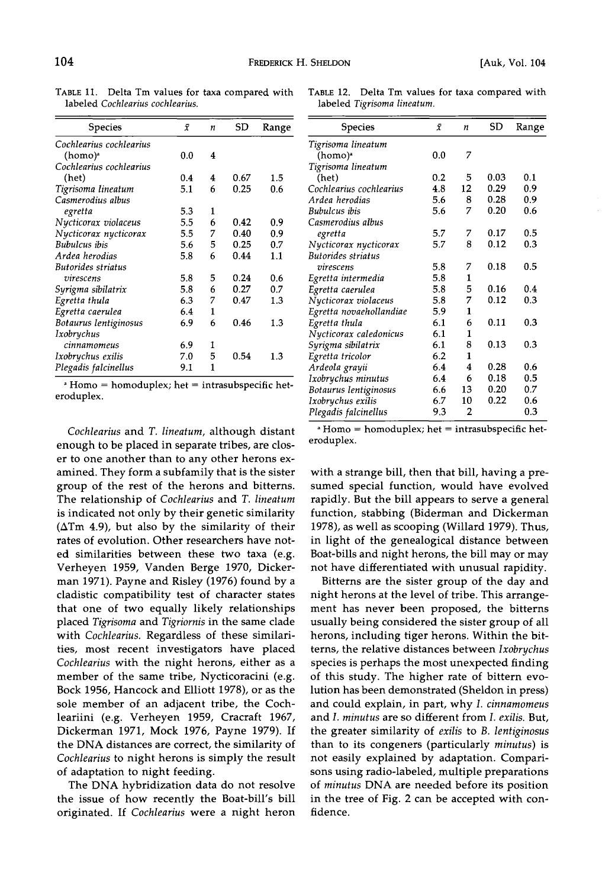| <b>Species</b>          | $\bar{x}$ | n | SD   | Range   |
|-------------------------|-----------|---|------|---------|
| Cochlearius cochlearius |           |   |      |         |
| (homo) <sup>a</sup>     | 0.0       | 4 |      |         |
| Cochlearius cochlearius |           |   |      |         |
| (het)                   | 0.4       | 4 | 0.67 | $1.5\,$ |
| Tigrisoma lineatum      | 5.1       | 6 | 0.25 | 0.6     |
| Casmerodius albus       |           |   |      |         |
| egretta                 | 5.3       | 1 |      |         |
| Nycticorax violaceus    | 5.5       | 6 | 0.42 | 0.9     |
| Nycticorax nycticorax   | 5.5       | 7 | 0.40 | 0.9     |
| <b>Bubulcus</b> ibis    | 5.6       | 5 | 0.25 | 0.7     |
| Ardea herodias          | 5.8       | 6 | 0.44 | 1.1     |
| Butorides striatus      |           |   |      |         |
| virescens               | 5.8       | 5 | 0.24 | 0.6     |
| Syrigma sibilatrix      | 5.8       | 6 | 0.27 | 0.7     |
| Egretta thula           | 6.3       | 7 | 0.47 | 1.3     |
| Egretta caerulea        | 6.4       | 1 |      |         |
| Botaurus lentiginosus   | 6.9       | 6 | 0.46 | 1.3     |
| Ixobrychus              |           |   |      |         |
| cinnamomeus             | 6.9       | 1 |      |         |
| Ixobrychus exilis       | 7.0       | 5 | 0.54 | 1.3     |
| Plegadis falcinellus    | 9.1       | 1 |      |         |

TABLE 11. Delta Tm values for taxa compared with **labeled Cochlearius cochlearius.** 

**Homo = homoduplex; het = intrasubspecific heteroduplex.** 

**Cochlearius and T. lineatum, although distant enough to be placed in separate tribes, are closer to one another than to any other herons examined. They form a subfamily that is the sister group of the rest of the herons and bitterns. The relationship of Cochlearius and T. lineatum is indicated not only by their genetic similarity (ATm 4.9), but also by the similarity of their rates of evolution. Other researchers have noted similarities between these two taxa (e.g. Verheyen 1959, Vanden Berge 1970, Dickerman 1971). Payne and Risley (1976) found by a cladistic compatibility test of character states that one of two equally likely relationships**  placed Tigrisoma and Tigriornis in the same clade **with Cochlearius. Regardless of these similarities, most recent investigators have placed Cochlearius with the night herons, either as a member of the same tribe, Nycticoracini (e.g. Bock 1956, Hancock and Elliott 1978), or as the sole member of an adjacent tribe, the Cochleariini (e.g. Verheyen 1959, Cracraft 1967, Dickerman 1971, Mock 1976, Payne 1979). If the DNA distances are correct, the similarity of**  Cochlearius to night herons is simply the result **of adaptation to night feeding.** 

**The DNA hybridization data do not resolve the issue of how recently the Boat-bill's bill originated. If Cochlearius were a night heron** 

|                             |  |  | TABLE 12. Delta Tm values for taxa compared with |  |
|-----------------------------|--|--|--------------------------------------------------|--|
| labeled Tigrisoma lineatum. |  |  |                                                  |  |

| Species                 | $\bar{x}$ | n  | SD   | Range |
|-------------------------|-----------|----|------|-------|
|                         |           |    |      |       |
| Tigrisoma lineatum      |           |    |      |       |
| (homo) <sup>a</sup>     | 0.0       | 7  |      |       |
| Tigrisoma lineatum      |           |    |      |       |
| (het)                   | 0.2       | 5  | 0.03 | 0.1   |
| Cochlearius cochlearius | 4.8       | 12 | 0.29 | 0.9   |
| Ardea herodias          | 5.6       | 8  | 0.28 | 0.9   |
| Bubulcus ibis           | 5.6       | 7  | 0.20 | 0.6   |
| Casmerodius albus       |           |    |      |       |
| egretta                 | 5.7       | 7  | 0.17 | 0.5   |
| Nycticorax nycticorax   | 5.7       | 8  | 0.12 | 0.3   |
| Butorides striatus      |           |    |      |       |
| virescens               | 5.8       | 7  | 0.18 | 0.5   |
| Egretta intermedia      | 5.8       | 1  |      |       |
| Egretta caerulea        | 5.8       | 5  | 0.16 | 0.4   |
| Nycticorax violaceus    | 5.8       | 7  | 0.12 | 0.3   |
| Egretta novaehollandiae | 5.9       | 1  |      |       |
| Egretta thula           | 6.1       | 6  | 0.11 | 0.3   |
| Nycticorax caledonicus  | 6.1       | 1  |      |       |
| Syrigma sibilatrix      | 6.1       | 8  | 0.13 | 0.3   |
| Egretta tricolor        | 6.2       | 1  |      |       |
| Ardeola grayii          | 6.4       | 4  | 0.28 | 0.6   |
| Ixobrychus minutus      | 6.4       | 6  | 0.18 | 0.5   |
| Botaurus lentiginosus   | 6.6       | 13 | 0.20 | 0.7   |
| Ixobrychus exilis       | 6.7       | 10 | 0.22 | 0.6   |
| Plegadis falcinellus    | 9.3       | 2  |      | 0.3   |

**Homo = homoduplex; het = intrasubspecific heteroduplex.** 

**with a strange bill, then that bill, having a presumed special function, would have evolved rapidly. But the bill appears to serve a general function, stabbing (Biderman and Dickerman 1978), as well as scooping (Willard 1979). Thus, in light of the genealogical distance between Boat-bills and night herons, the bill may or may not have differentiated with unusual rapidity.** 

**Bitterns are the sister group of the day and night herons at the level of tribe. This arrangement has never been proposed, the bitterns usually being considered the sister group of all herons, including tiger herons. Within the bitterns, the relative distances between Ixobrychus species is perhaps the most unexpected finding of this study. The higher rate of bittern evolution has been demonstrated (Sheldon in press) and could explain, in part, why I. cinnamomeus and I. minutus are so different from I. exilis. But, the greater similarity of exilis to B. lentiginosus than to its congeners (particularly minutus) is not easily explained by adaptation. Comparisons using radio-labeled, multiple preparations of minutus DNA are needed before its position in the tree of Fig. 2 can be accepted with confidence.**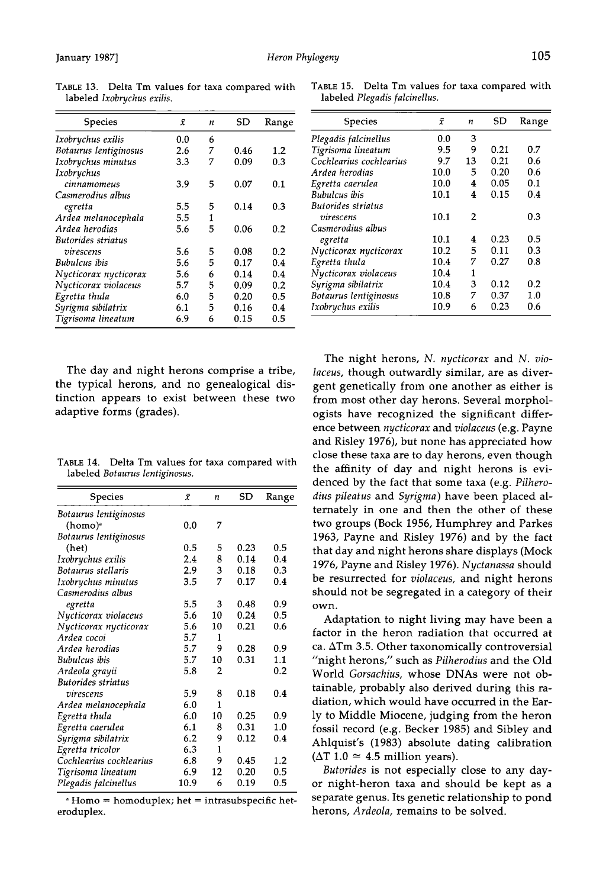| <b>Species</b>        | ī   | n | SD   | Range   |
|-----------------------|-----|---|------|---------|
| Ixobrychus exilis     | 0.0 | 6 |      |         |
| Botaurus lentiginosus | 2.6 | 7 | 0.46 | 1.2     |
| Ixobrychus minutus    | 3.3 | 7 | 0.09 | 0.3     |
| Ixobrychus            |     |   |      |         |
| cinnamomeus           | 3.9 | 5 | 0.07 | 0.1     |
| Casmerodius albus     |     |   |      |         |
| egretta               | 5.5 | 5 | 0.14 | 0.3     |
| Ardea melanocephala   | 5.5 | 1 |      |         |
| Ardea herodias        | 5.6 | 5 | 0.06 | 0.2     |
| Butorides striatus    |     |   |      |         |
| virescens             | 5.6 | 5 | 0.08 | 0.2     |
| Bubulcus ibis         | 5.6 | 5 | 0.17 | 0.4     |
| Nycticorax nycticorax | 5.6 | 6 | 0.14 | 0.4     |
| Nycticorax violaceus  | 5.7 | 5 | 0.09 | 0.2     |
| Egretta thula         | 6.0 | 5 | 0.20 | $0.5\,$ |
| Syrigma sibilatrix    | 6.1 | 5 | 0.16 | 0.4     |
| Tigrisoma lineatum    | 6.9 | 6 | 0.15 | 0.5     |

**TABLE 13. Delta Tm values for taxa compared with labeled Ixobrychus exilis.** 

**The day and night herons comprise a tribe, the typical herons, and no genealogical distinction appears to exist between these two adaptive forms (grades).** 

**TABLE 14. Delta Tm values for taxa compared with labeled Botaurus lentiginosus.** 

| Species                   | ī    | n              | SD   | Range |
|---------------------------|------|----------------|------|-------|
| Botaurus lentiginosus     |      |                |      |       |
| (homo) <sup>a</sup>       | 0.0  | 7              |      |       |
| Botaurus lentiginosus     |      |                |      |       |
| (het)                     | 0.5  | 5              | 0.23 | 0.5   |
| Ixobrychus exilis         | 2.4  | 8              | 0.14 | 0.4   |
| Botaurus stellaris        | 2.9  | 3              | 0.18 | 0.3   |
| Ixobrychus minutus        | 3.5  | 7              | 0.17 | 0.4   |
| Casmerodius albus         |      |                |      |       |
| egretta                   | 5.5  | 3              | 0.48 | 0.9   |
| Nycticorax violaceus      | 5.6  | 10             | 0.24 | 0.5   |
| Nycticorax nycticorax     | 5.6  | 10             | 0.21 | 0.6   |
| Ardea cocoi               | 5.7  | 1              |      |       |
| Ardea herodias            | 5.7  | 9              | 0.28 | 0.9   |
| Bubulcus ibis             | 5.7  | 10             | 0.31 | 1.1   |
| Ardeola grayıı            | 5.8  | $\overline{2}$ |      | 0.2   |
| <b>Butorides striatus</b> |      |                |      |       |
| virescens                 | 5.9  | 8              | 0.18 | 0.4   |
| Ardea melanocephala       | 6.0  | $\mathbf{1}$   |      |       |
| Egretta thula             | 6.0  | 10             | 0.25 | 0.9   |
| Egretta caerulea          | 6.1  | 8              | 0.31 | 1.0   |
| Syrigma sibilatrix        | 6.2  | 9              | 0.12 | 0.4   |
| Egretta tricolor          | 6.3  | 1              |      |       |
| Cochlearius cochlearius   | 6.8  | 9              | 0.45 | 1.2   |
| Tigrisoma lineatum        | 6.9  | 12             | 0.20 | 0.5   |
| Plegadis falcinellus      | 10.9 | 6              | 0.19 | 0.5   |

**Homo = homoduplex; het = intrasubspecific heteroduplex.** 

**TABLE 15. Delta Tm values for taxa compared with labeled Plegadis falcinellus.** 

| Species                 | ī    | n  | SD   | Range |
|-------------------------|------|----|------|-------|
| Plegadis falcinellus    | 0.0  | 3  |      |       |
| Tigrisoma lineatum      | 9.5  | 9  | 0.21 | 0.7   |
| Cochlearius cochlearius | 9.7  | 13 | 0.21 | 0.6   |
| Ardea herodias          | 10.0 | 5  | 0.20 | 0.6   |
| Egretta caerulea        | 10.0 | 4  | 0.05 | 01    |
| Bubulcus ibis           | 10.1 | 4  | 0.15 | 0.4   |
| Butorides striatus      |      |    |      |       |
| virescens               | 10.1 | 2  |      | 0.3   |
| Casmerodius albus       |      |    |      |       |
| egretta                 | 10.1 | 4  | 0.23 | 0.5   |
| Nycticorax nycticorax   | 10.2 | 5  | 0.11 | 0.3   |
| Egretta thula           | 10.4 | 7  | 0.27 | 08    |
| Nycticorax violaceus    | 10.4 | 1  |      |       |
| Syrigma sibilatrix      | 10.4 | 3  | 0.12 | 0.2   |
| Botaurus lentiginosus   | 10.8 | 7  | 0.37 | 1.0   |
| Ixobrychus exilis       | 10.9 | 6  | 0.23 | 0.6   |

**The night herons, N. nycticorax and N. violaceus, though outwardly similar, are as divergent genetically from one another as either is from most other day herons. Several morphologists have recognized the significant difference between nycticorax and violaceus (e.g. Payne and Risley 1976), but none has appreciated how close these taxa are to day herons, even though the affinity of day and night herons is evidenced by the fact that some taxa (e.g. Pilhero**dius pileatus and Syrigma) have been placed al**ternately in one and then the other of these two groups (Bock 1956, Humphrey and Parkes 1963, Payne and Risley 1976) and by the fact that day and night herons share displays (Mock 1976, Payne and Risley 1976). Nyctanassa should be resurrected for violaceus, and night herons should not be segregated in a category of their own.** 

**Adaptation to night living may have been a factor in the heron radiation that occurred at**  ca.  $\Delta T$ m 3.5. Other taxonomically controversial **"night herons," such as Pilherodius and the Old World Gorsachius, whose DNAs were not obtainable, probably also derived during this radiation, which would have occurred in the Early to Middle Miocene, judging from the heron fossil record (e.g. Becker 1985) and Sibley and Ahlquist's (1983) absolute dating calibration**   $(\Delta T \ 1.0 \approx 4.5 \text{ million years}).$ 

**Butorides is not especially close to any dayor night-heron taxa and should be kept as a separate genus. Its genetic relationship to pond herons, Ardeola, remains to be solved.**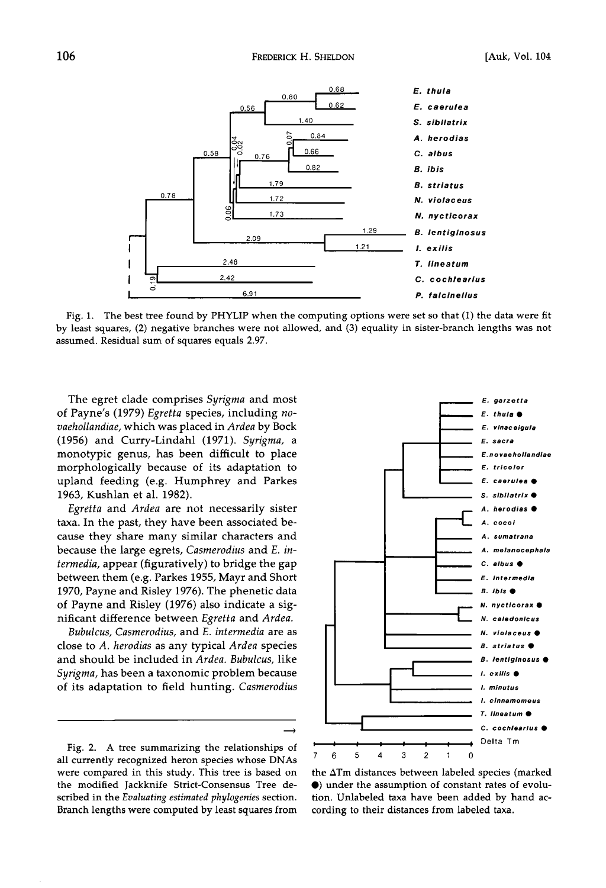

**Fig. 1. The best tree found by PHYLIP when the computing options were set so that (1) the data were fit by least squares, (2) negative branches were not allowed, and (3) equality in sister-branch lengths was not assumed. Residual sum of squares equals 2.97.** 

**The egret clade comprises Syrigma and most of Payhe's (1979) Egretta species, including novaehollandiae, which was placed in Ardea by Bock (1956) and Curry-Lindahl (1971). Syrigma, a monotypic genus, has been difficult to place morphologically because of its adaptation to upland feeding (e.g. Humphrey and Parkes 1963, Kushlan et aL 1982).** 

**Egretta and Ardea are not necessarily sister taxa. In the past, they have been associated because they share many similar characters and because the large egrets, Casmerodius and E. intermedia, appear (figuratively) to bridge the gap between them (e.g. Parkes 1955, Mayr and Short 1970, Payne and Risley 1976). The phenetic data of Payne and Risley (1976) also indicate a significant difference between Egretta and Ardea.** 

**Bubulcus, Casmerodius, and E. intermedia are as close to A. herodias as any typical Ardea species and should be included in Ardea. Bubulcus, like Syrigma, has been a taxonomic problem because of its adaptation to field hunting. Casmerodius** 

**Fig. 2. A tree summarizing the relationships of all currently recognized heron species whose DNAs were compared in this study. This tree is based on the modified Jackknife Strict-Consensus Tree described in the Evaluating estimated phylogenies section. Branch lengths were computed by least squares from** 



**the ATm distances between labeled species (marked O) under the assumption of constant rates of evolution. Unlabeled taxa have been added by hand according to their distances from labeled taxa.**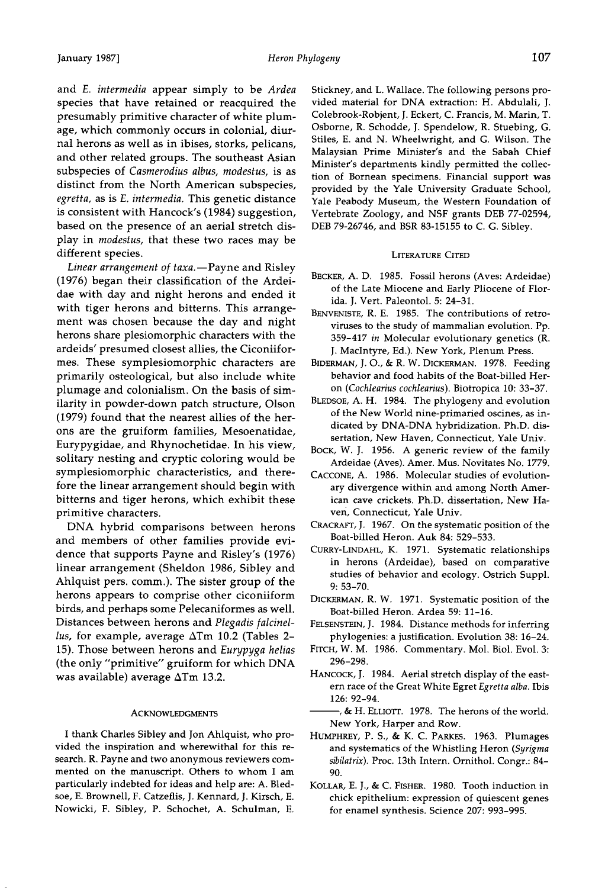**and E. intermedia appear simply to be Ardea species that have retained or reacquired the presumably primitive character of white plumage, which commonly occurs in colonial, diurnal herons as well as in ibises, storks, pelicans, and other related groups. The southeast Asian subspecies of Casmerodius albus, modestus, is as distinct from the North American subspecies, egretta, as is E. intermedia. This genetic distance is consistent with Hancock's (1984) suggestion, based on the presence of an aerial stretch display in modestus, that these two races may be different species.** 

Linear arrangement of taxa.-Payne and Risley **(1976) began their classification of the Ardeidae with day and night herons and ended it with tiger herons and bitterns. This arrangement was chosen because the day and night herons share plesiomorphic characters with the ardeids' presumed closest allies, the Ciconiiformes. These symplesiomorphic characters are primarily osteological, but also include white plumage and colonialism. On the basis of similarity in powder-down patch structure, Olson (1979) found that the nearest allies of the herons are the gruiform families, Mesoenatidae, Eurypygidae, and Rhynochetidae. In his view, solitary nesting and cryptic coloring would be symplesiomorphic characteristics, and therefore the linear arrangement should begin with bitterns and tiger herons, which exhibit these primitive characters.** 

**DNA hybrid comparisons between herons and members of other families provide evidence that supports Payne and Risley's (1976) linear arrangement (Sheldon 1986, Sibley and Ahlquist pets. comm.). The sister group of the herons appears to comprise other ciconiiform birds, and perhaps some Pelecaniformes as well. Distances between herons and Plegadis falcinellus, for example, average ATm 10.2 (Tables 2- 15). Those between herons and Eurypyga helias (the only "primitive" gruiform for which DNA was available) average ATm 13.2.** 

#### **ACKNOWLEDGMENTS**

**I thank Charles Sibley and Jon Ahlquist, who provided the inspiration and wherewithal for this research. R. Payne and two anonymous reviewers commented on the manuscript. Others to whom I am particularly indebted for ideas and help are: A. Bledsoe, E. Brownell, F. Catzeflis, J. Kennard, J. Kirsch, E. Nowicki, F. Sibley, P. Schochet, A. Schulman, E.**  **Stickney, and L. Wallace. The following persons provided material for DNA extraction: H. Abdulali, J. Colebrook-Robjent, J. Eckert, C. Francis, M. Marin, T. Osborne, R. Schodde, J. Spendelow, R. Stuebing, G. Stiles, E. and N. Wheelwright, and G. Wilson. The**  Malaysian Prime Minister's and the Sabah Chief **Minister's departments kindly permitted the collection of Bornean specimens. Financial support was provided by the Yale University Graduate School, Yale Peabody Museum, the Western Foundation of Vertebrate Zoology, and NSF grants DEB 77-02594, DEB 79-26746, and BSR 83-15155 to C. G. Sibley.** 

## **LITERATURE CITED**

- **BECKER, A.D. 1985. Fossil herons (Aves: Ardeidae) of the Late Miocene and Early Pliocene of Florida. J. Vert. Paleontol. 5: 24-31.**
- **BENVENISTE, R.E. 1985. The contributions of retroviruses to the study of mammalian evolution. Pp. 359-417 in Molecular evolutionary genetics (R. J. MacIntyre, Ed.). New York, Plenum Press.**
- **BIDERMAN, J.O., & R. W. DICKERMAN. 1978. Feeding behavior and food habits of the Boat-billed Heron (Cochlearius cochlearius). Biotropica 10: 33-37.**
- **BLEDSOE, A. H. 1984. The phylogeny and evolution of the New World nine-primaried oscines, as indicated by DNA-DNA hybridization. Ph.D. dissertation, New Haven, Connecticut, Yale Univ.**
- **BOCK, W. J. 1956. A generic review of the family Ardeidae (Aves). Amer. Mus. Novitates No. 1779.**
- CACCONE, A. 1986. Molecular studies of evolution**ary divergence within and among North American cave crickets. Ph.D. dissertation, New Ha**ven, Connecticut, Yale Univ.
- **CRACRAFT, J. 1967. On the systematic position of the Boat-billed Heron. Auk 84: 529-533.**
- **CURRY-LINDAHL, K. 1971. Systematic relationships in herons (Ardeidae), based on comparative studies of behavior and ecology. Ostrich Suppl. 9: 53-70.**
- **DICKERMAN, R.W. 1971. Systematic position of the Boat-billed Heron. Ardea 59: 11-16.**
- **FELSENSTEIN, J. 1984. Distance methods for inferring phylogenies: a justification. Evolution 38: 16-24.**
- **FITCH, W. M. 1986. Commentary. Mol. Biol. Evol. 3: 296-298.**
- **HANCOCK, J.1984. Aerial stretch display of the eastern race of the Great White Egret Egretta alba. Ibis 126: 92-94.**
- -, & H. ELLIOTT. 1978. The herons of the world. **New York, Harper and Row.**
- **HUMPHREY, P.S., K. C. PARKES. 1963. Plumages and systematics of the Whistling Heron (Syrigma sibilatrix). Proc. 13th Intern. Ornithol. Congr.: 84- 90.**
- **KOLLAR, E. J., & C. FISHER. 1980. Tooth induction in chick epithelium: expression of quiescent genes for enamel synthesis. Science 207: 993-995.**